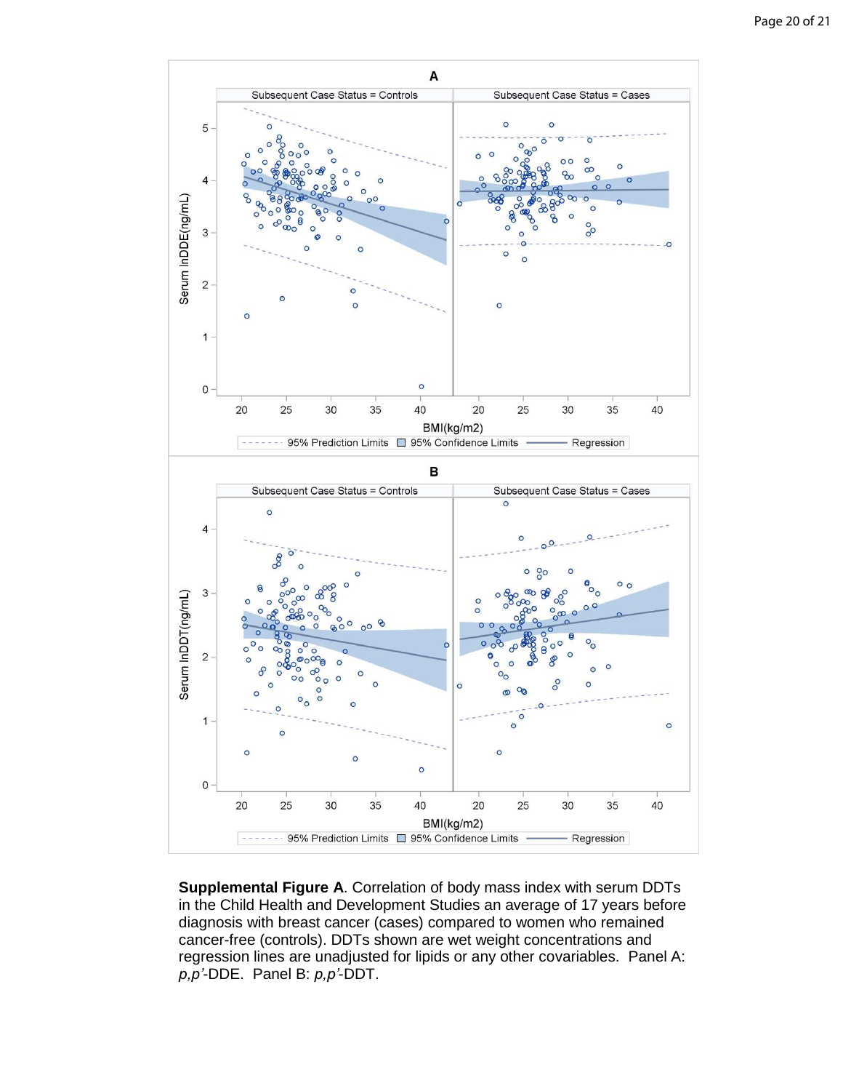

**Supplemental Figure A**. Correlation of body mass index with serum DDTs in the Child Health and Development Studies an average of 17 years before diagnosis with breast cancer (cases) compared to women who remained cancer-free (controls). DDTs shown are wet weight concentrations and regression lines are unadjusted for lipids or any other covariables. Panel A:  $p, p'$ -DDE. Panel B:  $p, p'$ -DDT.